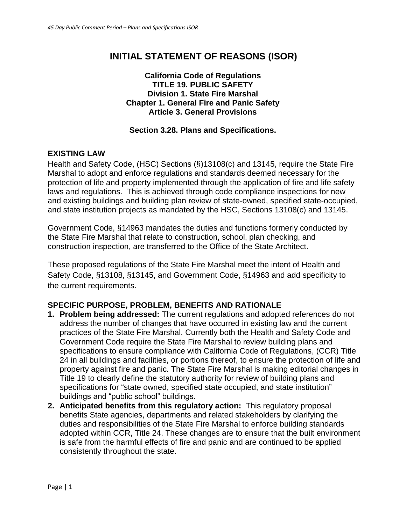# **INITIAL STATEMENT OF REASONS (ISOR)**

#### **California Code of Regulations TITLE 19. PUBLIC SAFETY Division 1. State Fire Marshal Chapter 1. General Fire and Panic Safety Article 3. General Provisions**

#### **Section 3.28. Plans and Specifications.**

#### **EXISTING LAW**

Health and Safety Code, (HSC) Sections (§)13108(c) and 13145, require the State Fire Marshal to adopt and enforce regulations and standards deemed necessary for the protection of life and property implemented through the application of fire and life safety laws and regulations. This is achieved through code compliance inspections for new and existing buildings and building plan review of state-owned, specified state-occupied, and state institution projects as mandated by the HSC, Sections 13108(c) and 13145.

Government Code, §14963 mandates the duties and functions formerly conducted by the State Fire Marshal that relate to construction, school, plan checking, and construction inspection, are transferred to the Office of the State Architect.

These proposed regulations of the State Fire Marshal meet the intent of Health and Safety Code, §13108, §13145, and Government Code, §14963 and add specificity to the current requirements.

### **SPECIFIC PURPOSE, PROBLEM, BENEFITS AND RATIONALE**

- **1. Problem being addressed:** The current regulations and adopted references do not address the number of changes that have occurred in existing law and the current practices of the State Fire Marshal. Currently both the Health and Safety Code and Government Code require the State Fire Marshal to review building plans and specifications to ensure compliance with California Code of Regulations, (CCR) Title 24 in all buildings and facilities, or portions thereof, to ensure the protection of life and property against fire and panic. The State Fire Marshal is making editorial changes in Title 19 to clearly define the statutory authority for review of building plans and specifications for "state owned, specified state occupied, and state institution" buildings and "public school" buildings.
- **2. Anticipated benefits from this regulatory action:** This regulatory proposal benefits State agencies, departments and related stakeholders by clarifying the duties and responsibilities of the State Fire Marshal to enforce building standards adopted within CCR, Title 24. These changes are to ensure that the built environment is safe from the harmful effects of fire and panic and are continued to be applied consistently throughout the state.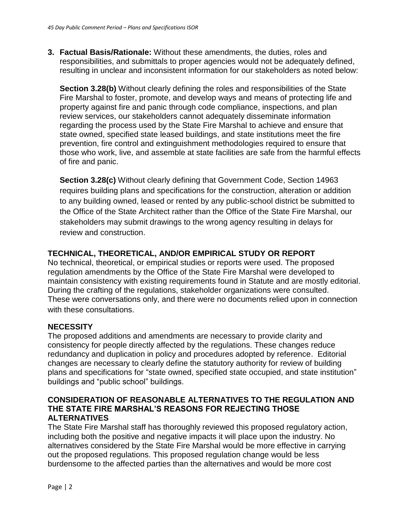**3. Factual Basis/Rationale:** Without these amendments, the duties, roles and responsibilities, and submittals to proper agencies would not be adequately defined, resulting in unclear and inconsistent information for our stakeholders as noted below:

**Section 3.28(b)** Without clearly defining the roles and responsibilities of the State Fire Marshal to foster, promote, and develop ways and means of protecting life and property against fire and panic through code compliance, inspections, and plan review services, our stakeholders cannot adequately disseminate information regarding the process used by the State Fire Marshal to achieve and ensure that state owned, specified state leased buildings, and state institutions meet the fire prevention, fire control and extinguishment methodologies required to ensure that those who work, live, and assemble at state facilities are safe from the harmful effects of fire and panic.

**Section 3.28(c)** Without clearly defining that Government Code, Section 14963 requires building plans and specifications for the construction, alteration or addition to any building owned, leased or rented by any public-school district be submitted to the Office of the State Architect rather than the Office of the State Fire Marshal, our stakeholders may submit drawings to the wrong agency resulting in delays for review and construction.

# **TECHNICAL, THEORETICAL, AND/OR EMPIRICAL STUDY OR REPORT**

No technical, theoretical, or empirical studies or reports were used. The proposed regulation amendments by the Office of the State Fire Marshal were developed to maintain consistency with existing requirements found in Statute and are mostly editorial. During the crafting of the regulations, stakeholder organizations were consulted. These were conversations only, and there were no documents relied upon in connection with these consultations.

# **NECESSITY**

The proposed additions and amendments are necessary to provide clarity and consistency for people directly affected by the regulations. These changes reduce redundancy and duplication in policy and procedures adopted by reference. Editorial changes are necessary to clearly define the statutory authority for review of building plans and specifications for "state owned, specified state occupied, and state institution" buildings and "public school" buildings.

### **CONSIDERATION OF REASONABLE ALTERNATIVES TO THE REGULATION AND THE STATE FIRE MARSHAL'S REASONS FOR REJECTING THOSE ALTERNATIVES**

The State Fire Marshal staff has thoroughly reviewed this proposed regulatory action, including both the positive and negative impacts it will place upon the industry. No alternatives considered by the State Fire Marshal would be more effective in carrying out the proposed regulations. This proposed regulation change would be less burdensome to the affected parties than the alternatives and would be more cost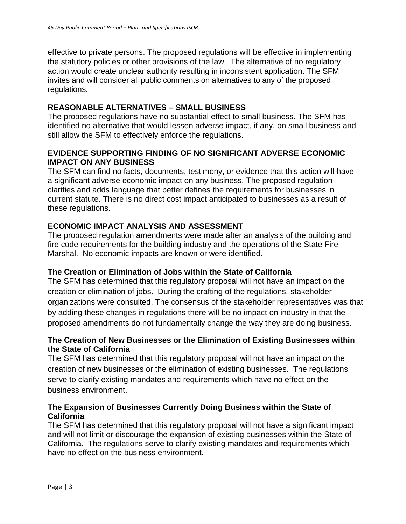effective to private persons. The proposed regulations will be effective in implementing the statutory policies or other provisions of the law. The alternative of no regulatory action would create unclear authority resulting in inconsistent application. The SFM invites and will consider all public comments on alternatives to any of the proposed regulations.

## **REASONABLE ALTERNATIVES – SMALL BUSINESS**

The proposed regulations have no substantial effect to small business. The SFM has identified no alternative that would lessen adverse impact, if any, on small business and still allow the SFM to effectively enforce the regulations.

## **EVIDENCE SUPPORTING FINDING OF NO SIGNIFICANT ADVERSE ECONOMIC IMPACT ON ANY BUSINESS**

The SFM can find no facts, documents, testimony, or evidence that this action will have a significant adverse economic impact on any business. The proposed regulation clarifies and adds language that better defines the requirements for businesses in current statute. There is no direct cost impact anticipated to businesses as a result of these regulations.

## **ECONOMIC IMPACT ANALYSIS AND ASSESSMENT**

The proposed regulation amendments were made after an analysis of the building and fire code requirements for the building industry and the operations of the State Fire Marshal. No economic impacts are known or were identified.

### **The Creation or Elimination of Jobs within the State of California**

The SFM has determined that this regulatory proposal will not have an impact on the creation or elimination of jobs. During the crafting of the regulations, stakeholder organizations were consulted. The consensus of the stakeholder representatives was that by adding these changes in regulations there will be no impact on industry in that the proposed amendments do not fundamentally change the way they are doing business.

## **The Creation of New Businesses or the Elimination of Existing Businesses within the State of California**

The SFM has determined that this regulatory proposal will not have an impact on the creation of new businesses or the elimination of existing businesses. The regulations serve to clarify existing mandates and requirements which have no effect on the business environment.

### **The Expansion of Businesses Currently Doing Business within the State of California**

The SFM has determined that this regulatory proposal will not have a significant impact and will not limit or discourage the expansion of existing businesses within the State of California. The regulations serve to clarify existing mandates and requirements which have no effect on the business environment.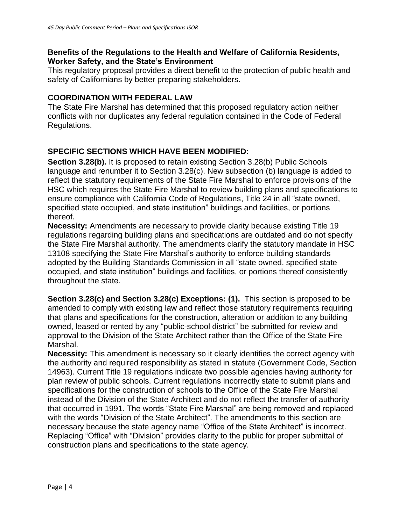## **Benefits of the Regulations to the Health and Welfare of California Residents, Worker Safety, and the State's Environment**

This regulatory proposal provides a direct benefit to the protection of public health and safety of Californians by better preparing stakeholders.

## **COORDINATION WITH FEDERAL LAW**

The State Fire Marshal has determined that this proposed regulatory action neither conflicts with nor duplicates any federal regulation contained in the Code of Federal Regulations.

# **SPECIFIC SECTIONS WHICH HAVE BEEN MODIFIED:**

**Section 3.28(b).** It is proposed to retain existing Section 3.28(b) Public Schools language and renumber it to Section 3.28(c). New subsection (b) language is added to reflect the statutory requirements of the State Fire Marshal to enforce provisions of the HSC which requires the State Fire Marshal to review building plans and specifications to ensure compliance with California Code of Regulations, Title 24 in all "state owned, specified state occupied, and state institution" buildings and facilities, or portions thereof.

**Necessity:** Amendments are necessary to provide clarity because existing Title 19 regulations regarding building plans and specifications are outdated and do not specify the State Fire Marshal authority. The amendments clarify the statutory mandate in HSC 13108 specifying the State Fire Marshal's authority to enforce building standards adopted by the Building Standards Commission in all "state owned, specified state occupied, and state institution" buildings and facilities, or portions thereof consistently throughout the state.

**Section 3.28(c) and Section 3.28(c) Exceptions: (1).** This section is proposed to be amended to comply with existing law and reflect those statutory requirements requiring that plans and specifications for the construction, alteration or addition to any building owned, leased or rented by any "public-school district" be submitted for review and approval to the Division of the State Architect rather than the Office of the State Fire Marshal.

**Necessity:** This amendment is necessary so it clearly identifies the correct agency with the authority and required responsibility as stated in statute (Government Code, Section 14963). Current Title 19 regulations indicate two possible agencies having authority for plan review of public schools. Current regulations incorrectly state to submit plans and specifications for the construction of schools to the Office of the State Fire Marshal instead of the Division of the State Architect and do not reflect the transfer of authority that occurred in 1991. The words "State Fire Marshal" are being removed and replaced with the words "Division of the State Architect". The amendments to this section are necessary because the state agency name "Office of the State Architect" is incorrect. Replacing "Office" with "Division" provides clarity to the public for proper submittal of construction plans and specifications to the state agency.